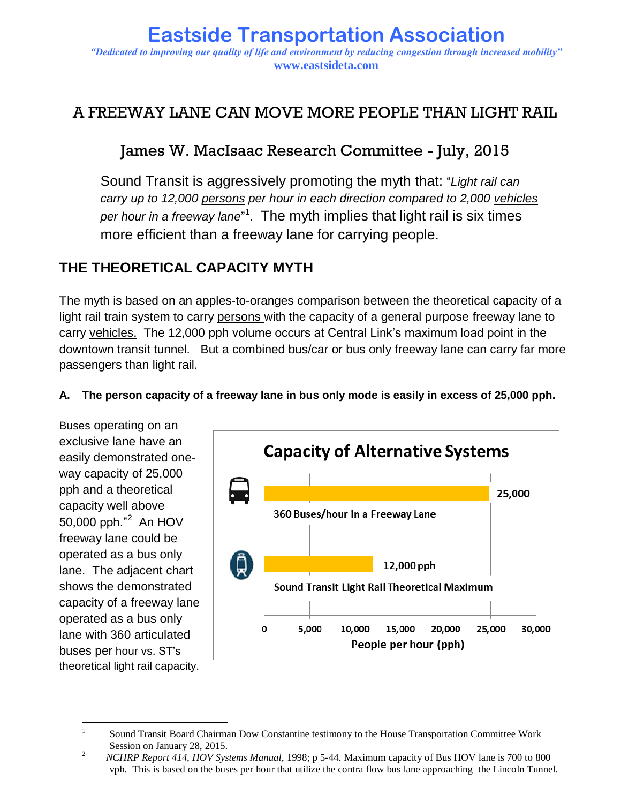### **Eastside Transportation Association** *"Dedicated to improving our quality of life and environment by reducing congestion through increased mobility"* **www.eastsideta.com**

# A FREEWAY LANE CAN MOVE MORE PEOPLE THAN LIGHT RAIL

# James W. MacIsaac Research Committee - July, 2015

Sound Transit is aggressively promoting the myth that: "*Light rail can carry up to 12,000 persons per hour in each direction compared to 2,000 vehicles per hour in a freeway lane*" 1 . The myth implies that light rail is six times more efficient than a freeway lane for carrying people.

## **THE THEORETICAL CAPACITY MYTH**

The myth is based on an apples-to-oranges comparison between the theoretical capacity of a light rail train system to carry persons with the capacity of a general purpose freeway lane to carry vehicles. The 12,000 pph volume occurs at Central Link's maximum load point in the downtown transit tunnel. But a combined bus/car or bus only freeway lane can carry far more passengers than light rail.



#### **A. The person capacity of a freeway lane in bus only mode is easily in excess of 25,000 pph.**

 $\overline{a}$ 1 Sound Transit Board Chairman Dow Constantine testimony to the House Transportation Committee Work Session on January 28, 2015.

<sup>2</sup> *NCHRP Report 414, HOV Systems Manual,* 1998; p 5-44. Maximum capacity of Bus HOV lane is 700 to 800 vph. This is based on the buses per hour that utilize the contra flow bus lane approaching the Lincoln Tunnel.